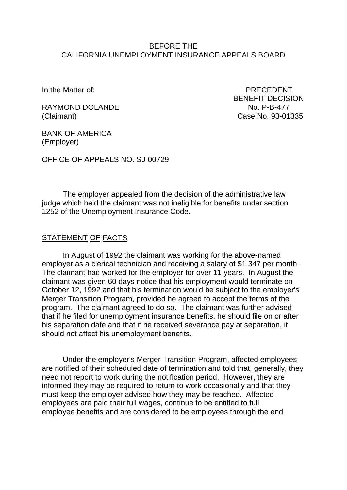### BEFORE THE CALIFORNIA UNEMPLOYMENT INSURANCE APPEALS BOARD

In the Matter of: PRECEDENT BENEFIT DECISION

RAYMOND DOLANDE NO. P-B-477 (Claimant) Case No. 93-01335

BANK OF AMERICA (Employer)

OFFICE OF APPEALS NO. SJ-00729

The employer appealed from the decision of the administrative law judge which held the claimant was not ineligible for benefits under section 1252 of the Unemployment Insurance Code.

# STATEMENT OF FACTS

In August of 1992 the claimant was working for the above-named employer as a clerical technician and receiving a salary of \$1,347 per month. The claimant had worked for the employer for over 11 years. In August the claimant was given 60 days notice that his employment would terminate on October 12, 1992 and that his termination would be subject to the employer's Merger Transition Program, provided he agreed to accept the terms of the program. The claimant agreed to do so. The claimant was further advised that if he filed for unemployment insurance benefits, he should file on or after his separation date and that if he received severance pay at separation, it should not affect his unemployment benefits.

Under the employer's Merger Transition Program, affected employees are notified of their scheduled date of termination and told that, generally, they need not report to work during the notification period. However, they are informed they may be required to return to work occasionally and that they must keep the employer advised how they may be reached. Affected employees are paid their full wages, continue to be entitled to full employee benefits and are considered to be employees through the end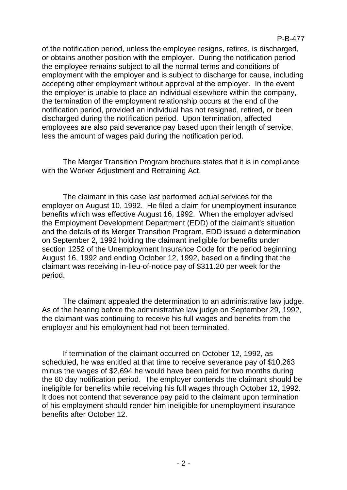of the notification period, unless the employee resigns, retires, is discharged, or obtains another position with the employer. During the notification period the employee remains subject to all the normal terms and conditions of employment with the employer and is subject to discharge for cause, including accepting other employment without approval of the employer. In the event the employer is unable to place an individual elsewhere within the company, the termination of the employment relationship occurs at the end of the notification period, provided an individual has not resigned, retired, or been discharged during the notification period. Upon termination, affected employees are also paid severance pay based upon their length of service, less the amount of wages paid during the notification period.

The Merger Transition Program brochure states that it is in compliance with the Worker Adjustment and Retraining Act.

The claimant in this case last performed actual services for the employer on August 10, 1992. He filed a claim for unemployment insurance benefits which was effective August 16, 1992. When the employer advised the Employment Development Department (EDD) of the claimant's situation and the details of its Merger Transition Program, EDD issued a determination on September 2, 1992 holding the claimant ineligible for benefits under section 1252 of the Unemployment Insurance Code for the period beginning August 16, 1992 and ending October 12, 1992, based on a finding that the claimant was receiving in-lieu-of-notice pay of \$311.20 per week for the period.

The claimant appealed the determination to an administrative law judge. As of the hearing before the administrative law judge on September 29, 1992, the claimant was continuing to receive his full wages and benefits from the employer and his employment had not been terminated.

If termination of the claimant occurred on October 12, 1992, as scheduled, he was entitled at that time to receive severance pay of \$10,263 minus the wages of \$2,694 he would have been paid for two months during the 60 day notification period. The employer contends the claimant should be ineligible for benefits while receiving his full wages through October 12, 1992. It does not contend that severance pay paid to the claimant upon termination of his employment should render him ineligible for unemployment insurance benefits after October 12.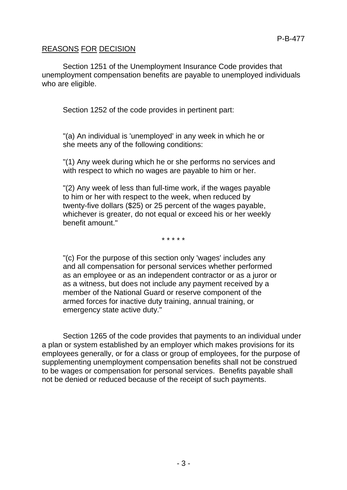# REASONS FOR DECISION

Section 1251 of the Unemployment Insurance Code provides that unemployment compensation benefits are payable to unemployed individuals who are eligible.

Section 1252 of the code provides in pertinent part:

"(a) An individual is 'unemployed' in any week in which he or she meets any of the following conditions:

"(1) Any week during which he or she performs no services and with respect to which no wages are payable to him or her.

"(2) Any week of less than full-time work, if the wages payable to him or her with respect to the week, when reduced by twenty-five dollars (\$25) or 25 percent of the wages payable, whichever is greater, do not equal or exceed his or her weekly benefit amount."

\* \* \* \* \*

"(c) For the purpose of this section only 'wages' includes any and all compensation for personal services whether performed as an employee or as an independent contractor or as a juror or as a witness, but does not include any payment received by a member of the National Guard or reserve component of the armed forces for inactive duty training, annual training, or emergency state active duty."

Section 1265 of the code provides that payments to an individual under a plan or system established by an employer which makes provisions for its employees generally, or for a class or group of employees, for the purpose of supplementing unemployment compensation benefits shall not be construed to be wages or compensation for personal services. Benefits payable shall not be denied or reduced because of the receipt of such payments.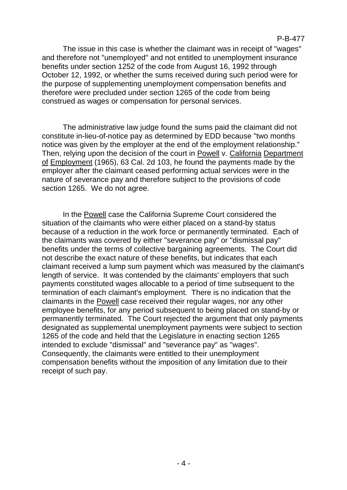The issue in this case is whether the claimant was in receipt of "wages" and therefore not "unemployed" and not entitled to unemployment insurance benefits under section 1252 of the code from August 16, 1992 through October 12, 1992, or whether the sums received during such period were for the purpose of supplementing unemployment compensation benefits and therefore were precluded under section 1265 of the code from being construed as wages or compensation for personal services.

The administrative law judge found the sums paid the claimant did not constitute in-lieu-of-notice pay as determined by EDD because "two months notice was given by the employer at the end of the employment relationship." Then, relying upon the decision of the court in Powell v. California Department of Employment (1965), 63 Cal. 2d 103, he found the payments made by the employer after the claimant ceased performing actual services were in the nature of severance pay and therefore subject to the provisions of code section 1265. We do not agree.

In the Powell case the California Supreme Court considered the situation of the claimants who were either placed on a stand-by status because of a reduction in the work force or permanently terminated. Each of the claimants was covered by either "severance pay" or "dismissal pay" benefits under the terms of collective bargaining agreements. The Court did not describe the exact nature of these benefits, but indicates that each claimant received a lump sum payment which was measured by the claimant's length of service. It was contended by the claimants' employers that such payments constituted wages allocable to a period of time subsequent to the termination of each claimant's employment. There is no indication that the claimants in the Powell case received their regular wages, nor any other employee benefits, for any period subsequent to being placed on stand-by or permanently terminated. The Court rejected the argument that only payments designated as supplemental unemployment payments were subject to section 1265 of the code and held that the Legislature in enacting section 1265 intended to exclude "dismissal" and "severance pay" as "wages". Consequently, the claimants were entitled to their unemployment compensation benefits without the imposition of any limitation due to their receipt of such pay.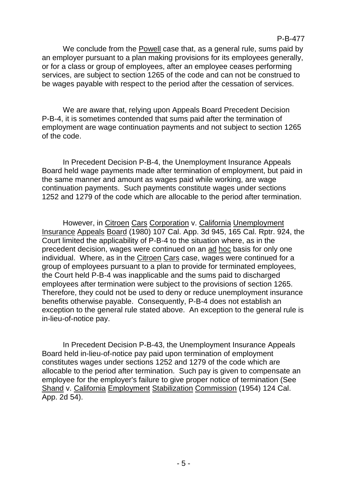We conclude from the Powell case that, as a general rule, sums paid by an employer pursuant to a plan making provisions for its employees generally, or for a class or group of employees, after an employee ceases performing services, are subject to section 1265 of the code and can not be construed to be wages payable with respect to the period after the cessation of services.

We are aware that, relying upon Appeals Board Precedent Decision P-B-4, it is sometimes contended that sums paid after the termination of employment are wage continuation payments and not subject to section 1265 of the code.

In Precedent Decision P-B-4, the Unemployment Insurance Appeals Board held wage payments made after termination of employment, but paid in the same manner and amount as wages paid while working, are wage continuation payments. Such payments constitute wages under sections 1252 and 1279 of the code which are allocable to the period after termination.

However, in Citroen Cars Corporation v. California Unemployment Insurance Appeals Board (1980) 107 Cal. App. 3d 945, 165 Cal. Rptr. 924, the Court limited the applicability of P-B-4 to the situation where, as in the precedent decision, wages were continued on an ad hoc basis for only one individual. Where, as in the Citroen Cars case, wages were continued for a group of employees pursuant to a plan to provide for terminated employees, the Court held P-B-4 was inapplicable and the sums paid to discharged employees after termination were subject to the provisions of section 1265. Therefore, they could not be used to deny or reduce unemployment insurance benefits otherwise payable. Consequently, P-B-4 does not establish an exception to the general rule stated above. An exception to the general rule is in-lieu-of-notice pay.

In Precedent Decision P-B-43, the Unemployment Insurance Appeals Board held in-lieu-of-notice pay paid upon termination of employment constitutes wages under sections 1252 and 1279 of the code which are allocable to the period after termination. Such pay is given to compensate an employee for the employer's failure to give proper notice of termination (See Shand v. California Employment Stabilization Commission (1954) 124 Cal. App. 2d 54).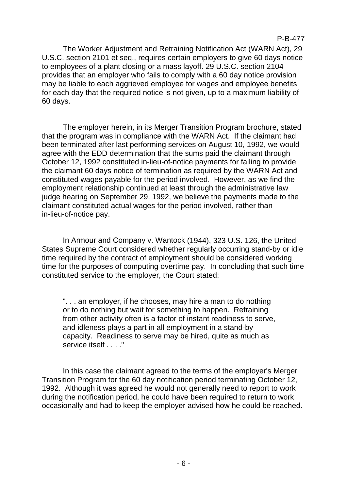P-B-477

The Worker Adjustment and Retraining Notification Act (WARN Act), 29 U.S.C. section 2101 et seq., requires certain employers to give 60 days notice to employees of a plant closing or a mass layoff. 29 U.S.C. section 2104 provides that an employer who fails to comply with a 60 day notice provision may be liable to each aggrieved employee for wages and employee benefits for each day that the required notice is not given, up to a maximum liability of 60 days.

The employer herein, in its Merger Transition Program brochure, stated that the program was in compliance with the WARN Act. If the claimant had been terminated after last performing services on August 10, 1992, we would agree with the EDD determination that the sums paid the claimant through October 12, 1992 constituted in-lieu-of-notice payments for failing to provide the claimant 60 days notice of termination as required by the WARN Act and constituted wages payable for the period involved. However, as we find the employment relationship continued at least through the administrative law judge hearing on September 29, 1992, we believe the payments made to the claimant constituted actual wages for the period involved, rather than in-lieu-of-notice pay.

In Armour and Company v. Wantock (1944), 323 U.S. 126, the United States Supreme Court considered whether regularly occurring stand-by or idle time required by the contract of employment should be considered working time for the purposes of computing overtime pay. In concluding that such time constituted service to the employer, the Court stated:

". . . an employer, if he chooses, may hire a man to do nothing or to do nothing but wait for something to happen. Refraining from other activity often is a factor of instant readiness to serve, and idleness plays a part in all employment in a stand-by capacity. Readiness to serve may be hired, quite as much as service itself . . . ."

In this case the claimant agreed to the terms of the employer's Merger Transition Program for the 60 day notification period terminating October 12, 1992. Although it was agreed he would not generally need to report to work during the notification period, he could have been required to return to work occasionally and had to keep the employer advised how he could be reached.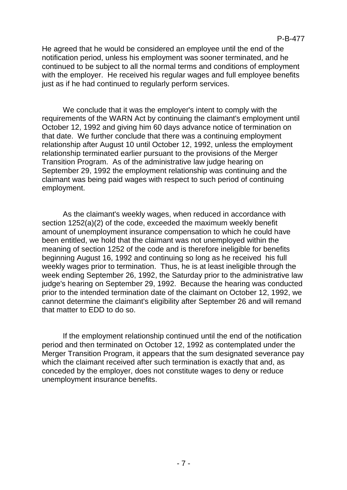#### P-B-477

He agreed that he would be considered an employee until the end of the notification period, unless his employment was sooner terminated, and he continued to be subject to all the normal terms and conditions of employment with the employer. He received his regular wages and full employee benefits just as if he had continued to regularly perform services.

We conclude that it was the employer's intent to comply with the requirements of the WARN Act by continuing the claimant's employment until October 12, 1992 and giving him 60 days advance notice of termination on that date. We further conclude that there was a continuing employment relationship after August 10 until October 12, 1992, unless the employment relationship terminated earlier pursuant to the provisions of the Merger Transition Program. As of the administrative law judge hearing on September 29, 1992 the employment relationship was continuing and the claimant was being paid wages with respect to such period of continuing employment.

As the claimant's weekly wages, when reduced in accordance with section 1252(a)(2) of the code, exceeded the maximum weekly benefit amount of unemployment insurance compensation to which he could have been entitled, we hold that the claimant was not unemployed within the meaning of section 1252 of the code and is therefore ineligible for benefits beginning August 16, 1992 and continuing so long as he received his full weekly wages prior to termination. Thus, he is at least ineligible through the week ending September 26, 1992, the Saturday prior to the administrative law judge's hearing on September 29, 1992. Because the hearing was conducted prior to the intended termination date of the claimant on October 12, 1992, we cannot determine the claimant's eligibility after September 26 and will remand that matter to EDD to do so.

If the employment relationship continued until the end of the notification period and then terminated on October 12, 1992 as contemplated under the Merger Transition Program, it appears that the sum designated severance pay which the claimant received after such termination is exactly that and, as conceded by the employer, does not constitute wages to deny or reduce unemployment insurance benefits.